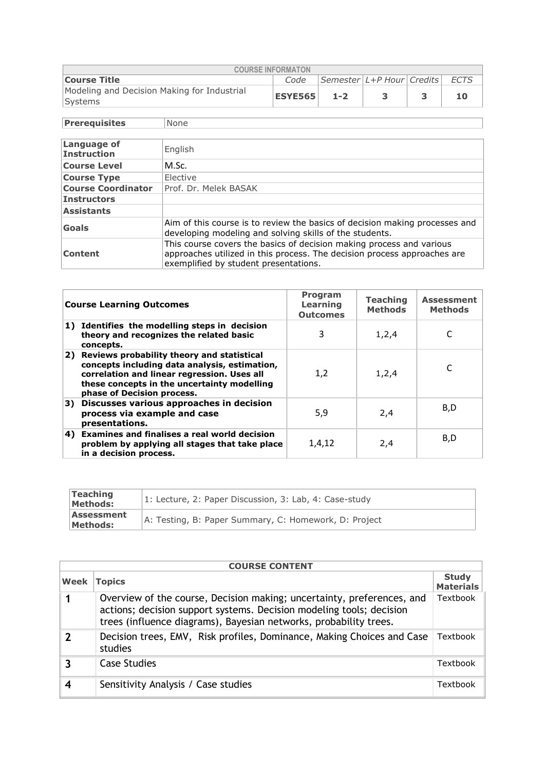| <b>COURSE INFORMATON</b>                                                                  |             |  |  |  |  |  |  |  |
|-------------------------------------------------------------------------------------------|-------------|--|--|--|--|--|--|--|
| $\left $ Semester $\left  L+P$ Hour Credits $\right $ ECTS<br><b>Course Title</b><br>Code |             |  |  |  |  |  |  |  |
| Modeling and Decision Making for Industrial<br>Systems                                    | ESYE565 1-2 |  |  |  |  |  |  |  |

**Prerequisites** None

| <b>Language of</b><br><b>Instruction</b> | English                                                                                                                                                                                   |
|------------------------------------------|-------------------------------------------------------------------------------------------------------------------------------------------------------------------------------------------|
| <b>Course Level</b>                      | M.Sc.                                                                                                                                                                                     |
| <b>Course Type</b>                       | Elective                                                                                                                                                                                  |
| <b>Course Coordinator</b>                | Prof. Dr. Melek BASAK                                                                                                                                                                     |
| <b>Instructors</b>                       |                                                                                                                                                                                           |
| <b>Assistants</b>                        |                                                                                                                                                                                           |
| Goals                                    | Aim of this course is to review the basics of decision making processes and<br>developing modeling and solving skills of the students.                                                    |
| Content                                  | This course covers the basics of decision making process and various<br>approaches utilized in this process. The decision process approaches are<br>exemplified by student presentations. |

|    | <b>Course Learning Outcomes</b>                                                                                                                                                                                            | <b>Program</b><br>Learning<br><b>Outcomes</b> | <b>Teaching</b><br><b>Methods</b> | <b>Assessment</b><br><b>Methods</b> |
|----|----------------------------------------------------------------------------------------------------------------------------------------------------------------------------------------------------------------------------|-----------------------------------------------|-----------------------------------|-------------------------------------|
|    | 1) Identifies the modelling steps in decision<br>theory and recognizes the related basic<br>concepts.                                                                                                                      | 3                                             | 1,2,4                             |                                     |
|    | 2) Reviews probability theory and statistical<br>concepts including data analysis, estimation,<br>correlation and linear regression. Uses all<br>these concepts in the uncertainty modelling<br>phase of Decision process. | 1.2                                           | 1, 2, 4                           |                                     |
| 3) | Discusses various approaches in decision<br>process via example and case<br>presentations.                                                                                                                                 | 5,9                                           | 2,4                               | B,D                                 |
|    | 4) Examines and finalises a real world decision<br>problem by applying all stages that take place<br>in a decision process.                                                                                                | 1,4,12                                        | 2,4                               | B,D                                 |

| Teaching<br>Methods:   | 1: Lecture, 2: Paper Discussion, 3: Lab, 4: Case-study |
|------------------------|--------------------------------------------------------|
| Assessment<br>Methods: | A: Testing, B: Paper Summary, C: Homework, D: Project  |

|             | <b>COURSE CONTENT</b>                                                                                                                                                                                               |                                  |  |  |  |
|-------------|---------------------------------------------------------------------------------------------------------------------------------------------------------------------------------------------------------------------|----------------------------------|--|--|--|
| Week        | <b>Topics</b>                                                                                                                                                                                                       | <b>Study</b><br><b>Materials</b> |  |  |  |
|             | Overview of the course, Decision making; uncertainty, preferences, and<br>actions; decision support systems. Decision modeling tools; decision<br>trees (influence diagrams), Bayesian networks, probability trees. | Textbook                         |  |  |  |
| $\mathbf 2$ | Decision trees, EMV, Risk profiles, Dominance, Making Choices and Case<br>studies                                                                                                                                   | Textbook                         |  |  |  |
| 3           | <b>Case Studies</b>                                                                                                                                                                                                 | Textbook                         |  |  |  |
| 4           | Sensitivity Analysis / Case studies                                                                                                                                                                                 | Textbook                         |  |  |  |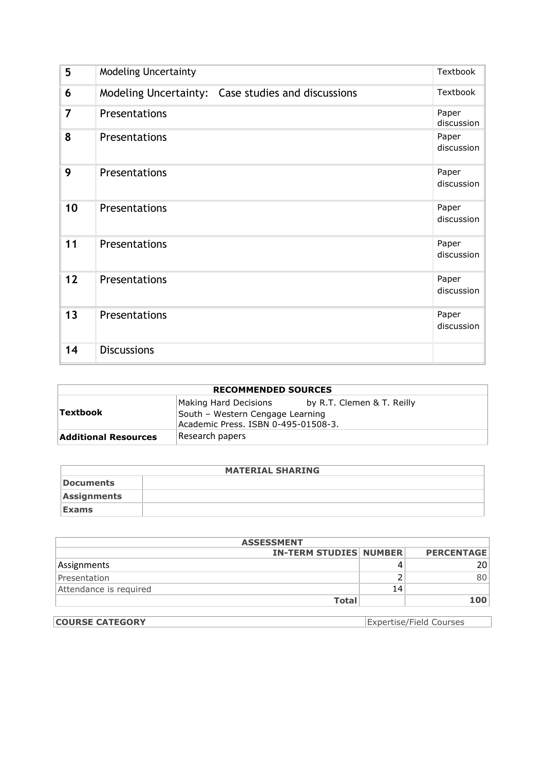| 5              | <b>Modeling Uncertainty</b>                        | <b>Textbook</b>     |
|----------------|----------------------------------------------------|---------------------|
| 6              | Modeling Uncertainty: Case studies and discussions | Textbook            |
| $\overline{7}$ | Presentations                                      | Paper<br>discussion |
| 8              | Presentations                                      | Paper<br>discussion |
| 9              | Presentations                                      | Paper<br>discussion |
| 10             | Presentations                                      | Paper<br>discussion |
| 11             | Presentations                                      | Paper<br>discussion |
| 12             | Presentations                                      | Paper<br>discussion |
| 13             | Presentations                                      | Paper<br>discussion |
| 14             | <b>Discussions</b>                                 |                     |

| <b>RECOMMENDED SOURCES</b>  |                                                                                                  |                            |  |  |
|-----------------------------|--------------------------------------------------------------------------------------------------|----------------------------|--|--|
| Textbook                    | Making Hard Decisions<br>South - Western Cengage Learning<br>Academic Press. ISBN 0-495-01508-3. | by R.T. Clemen & T. Reilly |  |  |
| <b>Additional Resources</b> | Research papers                                                                                  |                            |  |  |

|                  | <b>MATERIAL SHARING</b> |
|------------------|-------------------------|
| <b>Documents</b> |                         |
| Assignments      |                         |
| <b>Exams</b>     |                         |

| <b>ASSESSMENT</b>                                  |              |    |     |  |  |
|----------------------------------------------------|--------------|----|-----|--|--|
| <b>IN-TERM STUDIES NUMBER</b><br><b>PERCENTAGE</b> |              |    |     |  |  |
| Assignments                                        |              |    | 201 |  |  |
| Presentation                                       |              |    | 801 |  |  |
| Attendance is required                             |              | 14 |     |  |  |
|                                                    | <b>Total</b> |    | 100 |  |  |

| <b>COURSE CATEGORY</b> | Expertise/Field Courses |
|------------------------|-------------------------|